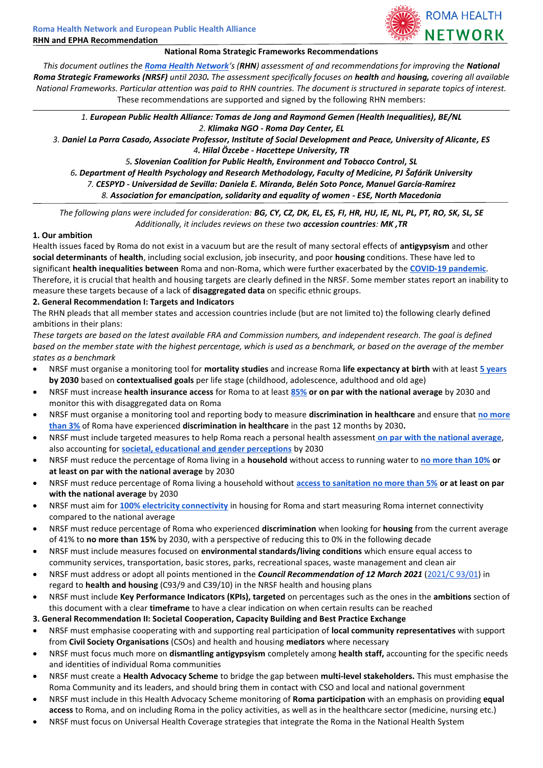### **National Roma Strategic Frameworks Recommendations**

**ROMA HEALTH** 

NETWORK

*This document outlines the [Roma Health Network](https://epha.org/roma-health-network/)'s (RHN) assessment of and recommendations for improving the National Roma Strategic Frameworks (NRSF) until 2030. The assessment specifically focuses on health and housing, covering all available National Frameworks. Particular attention was paid to RHN countries. The document is structured in separate topics of interest.* These recommendations are supported and signed by the following RHN members:

*1. European Public Health Alliance: Tomas de Jong and Raymond Gemen (Health Inequalities), BE/NL 2. Klimaka NGO - Roma Day Center, EL*

*3. Daniel La Parra Casado, Associate Professor, Institute of Social Development and Peace, University of Alicante, ES 4. Hilal Özcebe - Hacettepe University, TR*

*5. Slovenian Coalition for Public Health, Environment and Tobacco Control, SL 6. Department of Health Psychology and Research Methodology, Faculty of Medicine, PJ Šafárik University 7. CESPYD - Universidad de Sevilla: Daniela E. Miranda, Belén Soto Ponce, Manuel García-Ramírez 8. Association for emancipation, solidarity and equality of women - ESE, North Macedonia*

*The following plans were included for consideration: BG, CY, CZ, DK, EL, ES, FI, HR, HU, IE, NL, PL, PT, RO, SK, SL, SE Additionally, it includes reviews on these two accession countries: MK ,TR*

### **1. Our ambition**

Health issues faced by Roma do not exist in a vacuum but are the result of many sectoral effects of **antigypsyism** and other **social determinants** of **health**, including social exclusion, job insecurity, and poor **housing** conditions. These have led to significant **health inequalities between** Roma and non-Roma, which were further exacerbated by the **[COVID-19 pandemic](https://pdfs.semanticscholar.org/5fb9/155d2d85975a203b3374010ec7a09d1993d9.pdf)**. Therefore, it is crucial that health and housing targets are clearly defined in the NRSF. Some member states report an inability to measure these targets because of a lack of **disaggregated data** on specific ethnic groups.

### **2. General Recommendation I: Targets and Indicators**

The RHN pleads that all member states and accession countries include (but are not limited to) the following clearly defined ambitions in their plans:

*These targets are based on the latest available FRA and Commission numbers, and independent research. The goal is defined based on the member state with the highest percentage, which is used as a benchmark, or based on the average of the member states as a benchmark*

- NRSF must organise a monitoring tool for **mortality studies** and increase Roma **life expectancy at birth** with at least **[5 years](https://epha.org/wp-content/uploads/2019/02/closing-the-life-expectancy-gap-of-roma-in-europe-study.pdf#page=7) by 2030** based on **contextualised goals** per life stage (childhood, adolescence, adulthood and old age)
- NRSF must increase **health insurance access** for Roma to at least **[85%](https://fra.europa.eu/sites/default/files/fra_uploads/fra-2016-eu-minorities-survey-roma-selected-findings_en.pdf#page=32) or on par with the national average** by 2030 and monitor this with disaggregated data on Roma
- NRSF must organise a monitoring tool and reporting body to measure **discrimination in healthcare** and ensure that **[no more](https://fra.europa.eu/sites/default/files/fra_uploads/fra-2016-eu-minorities-survey-roma-selected-findings_en.pdf#page=39)  [than 3%](https://fra.europa.eu/sites/default/files/fra_uploads/fra-2016-eu-minorities-survey-roma-selected-findings_en.pdf#page=39)** of Roma have experienced **discrimination in healthcare** in the past 12 months by 2030**.**
- NRSF must include targeted measures to help Roma reach a personal health assessment **[on par with the national average](https://fra.europa.eu/sites/default/files/fra_uploads/fra-2018-anti-gypsyism-barrier-roma-inclusion_en.pdf#page=41)**, also accounting for **[societal, educational and gender perceptions](https://ec.europa.eu/eurostat/statistics-explained/images/5/54/Self-perceived_health_2020.png)** by 2030
- NRSF must reduce the percentage of Roma living in a **household** without access to running water to **[no more than 10%](https://fra.europa.eu/sites/default/files/fra_uploads/fra-2018-anti-gypsyism-barrier-roma-inclusion_en.pdf#page=45) or at least on par with the national average** by 2030
- NRSF must reduce percentage of Roma living a household without **[access to sanitation no more than 5%](https://fra.europa.eu/sites/default/files/fra_uploads/fra-2018-anti-gypsyism-barrier-roma-inclusion_en.pdf#page=47) or at least on par with the national average** by 2030
- NRSF must aim for **[100% electricity connectivity](https://fra.europa.eu/sites/default/files/fra_uploads/fra-2018-anti-gypsyism-barrier-roma-inclusion_en.pdf#page=47)** in housing for Roma and start measuring Roma internet connectivity compared to the national average
- NRSF must reduce percentage of Roma who experienced **discrimination** when looking for **housing** from the current average of 41% to **no more than 15%** by 2030, with a perspective of reducing this to 0% in the following decade
- NRSF must include measures focused on **environmental standards/living conditions** which ensure equal access to community services, transportation, basic stores, parks, recreational spaces, waste management and clean air
- NRSF must address or adopt all points mentioned in the *Council Recommendation of 12 March 2021* [\(2021/C 93/01\)](https://eur-lex.europa.eu/legal-content/EN/TXT/PDF/?uri=CELEX:32021H0319(01)&from=EN) in regard to **health and housing** (C93/9 and C39/10) in the NRSF health and housing plans
- NRSF must include **Key Performance Indicators (KPIs), targeted** on percentages such as the ones in the **ambitions** section of this document with a clear **timeframe** to have a clear indication on when certain results can be reached
- **3. General Recommendation II: Societal Cooperation, Capacity Building and Best Practice Exchange**
- NRSF must emphasise cooperating with and supporting real participation of **local community representatives** with support from **Civil Society Organisations** (CSOs) and health and housing **mediators** where necessary
- NRSF must focus much more on **dismantling antigypsyism** completely among **health staff,** accounting for the specific needs and identities of individual Roma communities
- NRSF must create a **Health Advocacy Scheme** to bridge the gap between **multi-level stakeholders.** This must emphasise the Roma Community and its leaders, and should bring them in contact with CSO and local and national government
- NRSF must include in this Health Advocacy Scheme monitoring of **Roma participation** with an emphasis on providing **equal access** to Roma, and on including Roma in the policy activities, as well as in the healthcare sector (medicine, nursing etc.)
- NRSF must focus on Universal Health Coverage strategies that integrate the Roma in the National Health System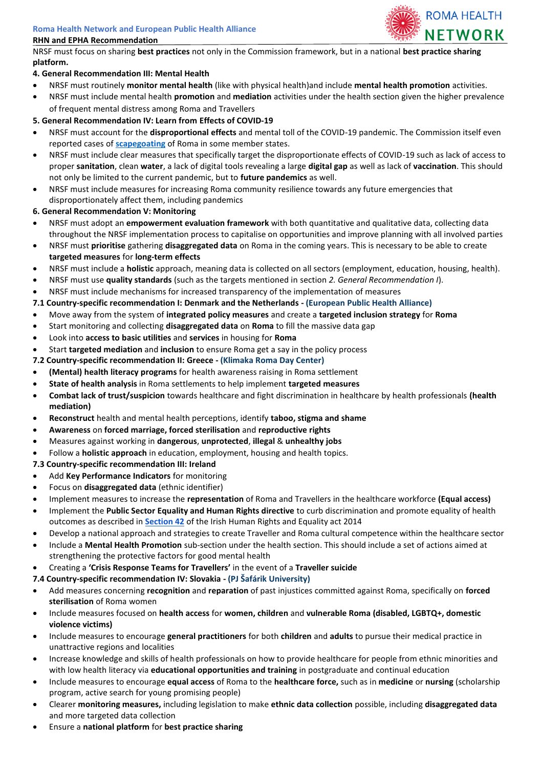

NRSF must focus on sharing **best practices** not only in the Commission framework, but in a national **best practice sharing platform.** 

# **4. General Recommendation III: Mental Health**

- NRSF must routinely **monitor mental health** (like with physical health)and include **mental health promotion** activities.
- NRSF must include mental health **promotion** and **mediation** activities under the health section given the higher prevalence of frequent mental distress among Roma and Travellers

## **5. General Recommendation IV: Learn from Effects of COVID-19**

- NRSF must account for the **disproportional effects** and mental toll of the COVID-19 pandemic. The Commission itself even reported cases of **[scapegoating](https://ec.europa.eu/info/sites/default/files/overview_of_covid19_and_roma_-_impact_-_measures_-_priorities_for_funding_-_23_04_2020.docx.pdf)** of Roma in some member states.
- NRSF must include clear measures that specifically target the disproportionate effects of COVID-19 such as lack of access to proper **sanitation**, clean **water**, a lack of digital tools revealing a large **digital gap** as well as lack of **vaccination**. This should not only be limited to the current pandemic, but to **future pandemics** as well.
- NRSF must include measures for increasing Roma community resilience towards any future emergencies that disproportionately affect them, including pandemics
- **6. General Recommendation V: Monitoring**
- NRSF must adopt an **empowerment evaluation framework** with both quantitative and qualitative data, collecting data throughout the NRSF implementation process to capitalise on opportunities and improve planning with all involved parties
- NRSF must **prioritise** gathering **disaggregated data** on Roma in the coming years. This is necessary to be able to create **targeted measures** for **long-term effects**
- NRSF must include a **holistic** approach, meaning data is collected on all sectors (employment, education, housing, health).
- NRSF must use **quality standards** (such as the targets mentioned in section *2. General Recommendation I*).
- NRSF must include mechanisms for increased transparency of the implementation of measures
- **7.1 Country-specific recommendation I: Denmark and the Netherlands - (European Public Health Alliance)**
- Move away from the system of **integrated policy measures** and create a **targeted inclusion strategy** for **Roma**
- Start monitoring and collecting **disaggregated data** on **Roma** to fill the massive data gap
- Look into **access to basic utilities** and **services** in housing for **Roma**
- Start **targeted mediation** and **inclusion** to ensure Roma get a say in the policy process
- **7.2 Country-specific recommendation II: Greece - (Klimaka Roma Day Center)**
- **(Mental) health literacy programs** for health awareness raising in Roma settlement
- **State of health analysis** in Roma settlements to help implement **targeted measures**
- **Combat lack of trust/suspicion** towards healthcare and fight discrimination in healthcare by health professionals **(health mediation)**
- **Reconstruct** health and mental health perceptions, identify **taboo, stigma and shame**
- **Awareness** on **forced marriage, forced sterilisation** and **reproductive rights**
- Measures against working in **dangerous**, **unprotected**, **illegal** & **unhealthy jobs**
- Follow a **holistic approach** in education, employment, housing and health topics.

## **7.3 Country-specific recommendation III: Ireland**

- Add **Key Performance Indicators** for monitoring
- Focus on **disaggregated data** (ethnic identifier)
- Implement measures to increase the **representation** of Roma and Travellers in the healthcare workforce **(Equal access)**
- Implement the **Public Sector Equality and Human Rights directive** to curb discrimination and promote equality of health outcomes as described in **[Section 42](https://www.ihrec.ie/download/pdf/ihrec_act_2014.pdf#page=37)** of the Irish Human Rights and Equality act 2014
- Develop a national approach and strategies to create Traveller and Roma cultural competence within the healthcare sector
- Include a **Mental Health Promotion** sub-section under the health section. This should include a set of actions aimed at strengthening the protective factors for good mental health
- Creating a **'Crisis Response Teams for Travellers'** in the event of a **Traveller suicide**
- **7.4 Country-specific recommendation IV: Slovakia - (PJ Šafárik University)**
- Add measures concerning **recognition** and **reparation** of past injustices committed against Roma, specifically on **forced sterilisation** of Roma women
- Include measures focused on **health access** for **women, children** and **vulnerable Roma (disabled, LGBTQ+, domestic violence victims)**
- Include measures to encourage **general practitioners** for both **children** and **adults** to pursue their medical practice in unattractive regions and localities
- Increase knowledge and skills of health professionals on how to provide healthcare for people from ethnic minorities and with low health literacy via **educational opportunities and training** in postgraduate and continual education
- Include measures to encourage **equal access** of Roma to the **healthcare force,** such as in **medicine** or **nursing** (scholarship program, active search for young promising people)
- Clearer **monitoring measures,** including legislation to make **ethnic data collection** possible, including **disaggregated data**  and more targeted data collection
- Ensure a **national platform** for **best practice sharing**